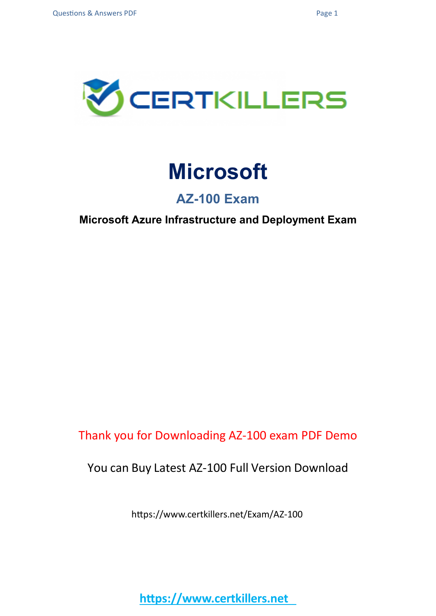

## **Microsoft**

## **AZ-100 Exam**

**Microsoft Azure Infrastructure and Deployment Exam**

Thank you for Downloading AZ-100 exam PDF Demo

## You can Buy Latest AZ-100 Full Version Download

https://www.certkillers.net/Exam/AZ-100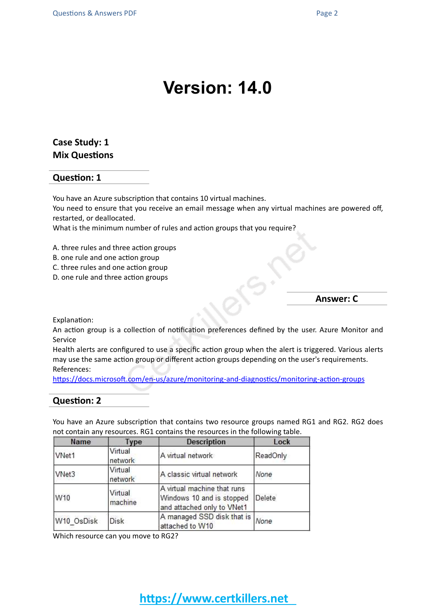## **Version: 14.0**

#### **Case Study: 1 Mix Questions**

#### **Question: 1**

You have an Azure subscription that contains 10 virtual machines.

You need to ensure that you receive an email message when any virtual machines are powered off, restarted, or deallocated.

What is the minimum number of rules and action groups that you require?

A. three rules and three action groups

- B. one rule and one action group
- C. three rules and one action group
- D. one rule and three action groups

#### **Answer: C**

Explanation:

An action group is a collection of notification preferences defined by the user. Azure Monitor and Service

Health alerts are configured to use a specific action group when the alert is triggered. Various alerts may use the same action group or different action groups depending on the user's requirements. References:

<https://docs.microsoft.com/en-us/azure/monitoring-and-diagnostics/monitoring-action-groups>

#### **Question: 2**

You have an Azure subscription that contains two resource groups named RG1 and RG2. RG2 does not contain any resources. RG1 contains the resources in the following table.

| Name       | <b>Type</b>        | <b>Description</b>                                                                     | Lock     |  |
|------------|--------------------|----------------------------------------------------------------------------------------|----------|--|
| VNet1      | Virtual<br>network | A virtual network                                                                      | ReadOnly |  |
| VNet3      | Virtual<br>network | A classic virtual network                                                              | None     |  |
| W10        | Virtual<br>machine | A virtual machine that runs<br>Windows 10 and is stopped<br>and attached only to VNet1 | Delete   |  |
| W10 OsDisk | <b>Disk</b>        | A managed SSD disk that is None<br>attached to W10                                     |          |  |

Which resource can you move to RG2?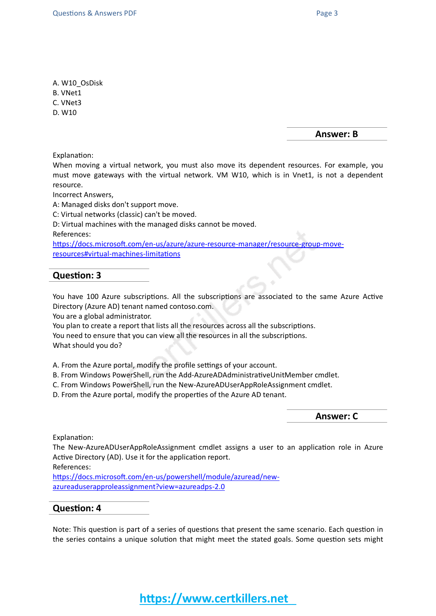A. W10\_OsDisk

B. VNet1

C. VNet3

D. W10

**Answer: B**

Explanation:

When moving a virtual network, you must also move its dependent resources. For example, you must move gateways with the virtual network. VM W10, which is in Vnet1, is not a dependent resource.

Incorrect Answers,

A: Managed disks don't support move.

C: Virtual networks (classic) can't be moved.

D: Virtual machines with the managed disks cannot be moved.

References:

[https://docs.microsoft.com/en-us/azure/azure-resource-manager/resource-group-move](https://docs.microsoft.com/en-us/azure/azure-resource-manager/resource-group-move-resources#virtual-machines-limitations)[resources#virtual-machines-limitations](https://docs.microsoft.com/en-us/azure/azure-resource-manager/resource-group-move-resources#virtual-machines-limitations)

#### **Question: 3**

You have 100 Azure subscriptions. All the subscriptions are associated to the same Azure Active Directory (Azure AD) tenant named contoso.com.

You are a global administrator.

You plan to create a report that lists all the resources across all the subscriptions.

You need to ensure that you can view all the resources in all the subscriptions.

What should you do?

A. From the Azure portal, modify the profile settings of your account.

B. From Windows PowerShell, run the Add-AzureADAdministrativeUnitMember cmdlet.

C. From Windows PowerShell, run the New-AzureADUserAppRoleAssignment cmdlet.

D. From the Azure portal, modify the properties of the Azure AD tenant.

**Answer: C**

Explanation:

The New-AzureADUserAppRoleAssignment cmdlet assigns a user to an application role in Azure Active Directory (AD). Use it for the application report.

References:

[https://docs.microsoft.com/en-us/powershell/module/azuread/new](https://docs.microsoft.com/en-us/powershell/module/azuread/new-azureaduserapproleassignment?view=azureadps-2.0)[azureaduserapproleassignment?view=azureadps-2.0](https://docs.microsoft.com/en-us/powershell/module/azuread/new-azureaduserapproleassignment?view=azureadps-2.0)

#### **Question: 4**

Note: This question is part of a series of questions that present the same scenario. Each question in the series contains a unique solution that might meet the stated goals. Some question sets might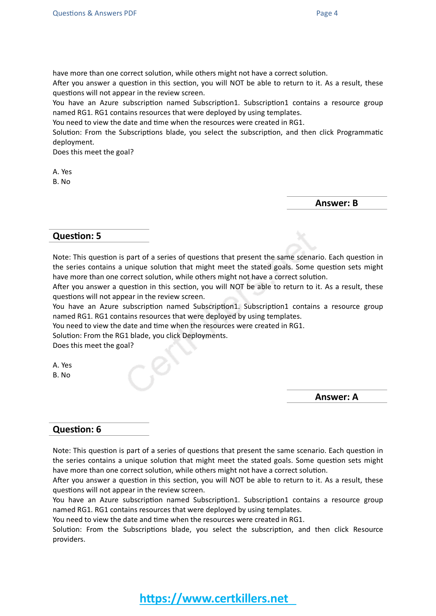have more than one correct solution, while others might not have a correct solution.

After you answer a question in this section, you will NOT be able to return to it. As a result, these questions will not appear in the review screen.

You have an Azure subscription named Subscription1. Subscription1 contains a resource group named RG1. RG1 contains resources that were deployed by using templates.

You need to view the date and time when the resources were created in RG1.

Solution: From the Subscriptions blade, you select the subscription, and then click Programmatic deployment.

Does this meet the goal?

A. Yes

B. No

**Answer: B**

#### **Question: 5**

Note: This question is part of a series of questions that present the same scenario. Each question in the series contains a unique solution that might meet the stated goals. Some question sets might have more than one correct solution, while others might not have a correct solution.

After you answer a question in this section, you will NOT be able to return to it. As a result, these questions will not appear in the review screen.

You have an Azure subscription named Subscription1. Subscription1 contains a resource group named RG1. RG1 contains resources that were deployed by using templates.

You need to view the date and time when the resources were created in RG1.

Solution: From the RG1 blade, you click Deployments.

Does this meet the goal?

A. Yes B. No

**Answer: A**

#### **Question: 6**

Note: This question is part of a series of questions that present the same scenario. Each question in the series contains a unique solution that might meet the stated goals. Some question sets might have more than one correct solution, while others might not have a correct solution.

After you answer a question in this section, you will NOT be able to return to it. As a result, these questions will not appear in the review screen.

You have an Azure subscription named Subscription1. Subscription1 contains a resource group named RG1. RG1 contains resources that were deployed by using templates.

You need to view the date and time when the resources were created in RG1.

Solution: From the Subscriptions blade, you select the subscription, and then click Resource providers.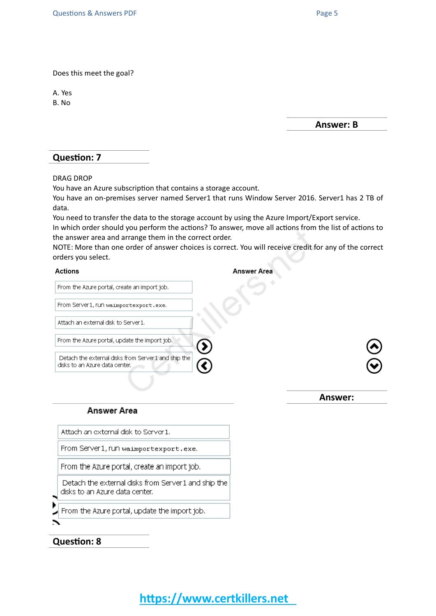Does this meet the goal?

A. Yes B. No

**Answer: B**

#### **Question: 7**

DRAG DROP

You have an Azure subscription that contains a storage account.

You have an on-premises server named Server1 that runs Window Server 2016. Server1 has 2 TB of data.

You need to transfer the data to the storage account by using the Azure Import/Export service. In which order should you perform the actions? To answer, move all actions from the list of actions to the answer area and arrange them in the correct order.

NOTE: More than one order of answer choices is correct. You will receive credit for any of the correct orders you select.

| Actions                                                                                | Answer Area |
|----------------------------------------------------------------------------------------|-------------|
| From the Azure portal, create an import job.                                           |             |
| From Server1, run waimportexport.exe.                                                  |             |
| Attach an external disk to Server 1.                                                   |             |
| From the Azure portal, update the import job.                                          |             |
| Detach the external disks from Server 1 and ship the<br>disks to an Azure data center. |             |
|                                                                                        | Answer:     |
| <b>Answer Area</b>                                                                     |             |

Attach an external disk to Server 1.

From Server1, run waimportexport.exe.

From the Azure portal, create an import job.

Detach the external disks from Server 1 and ship the disks to an Azure data center.

From the Azure portal, update the import job.

#### **Question: 8**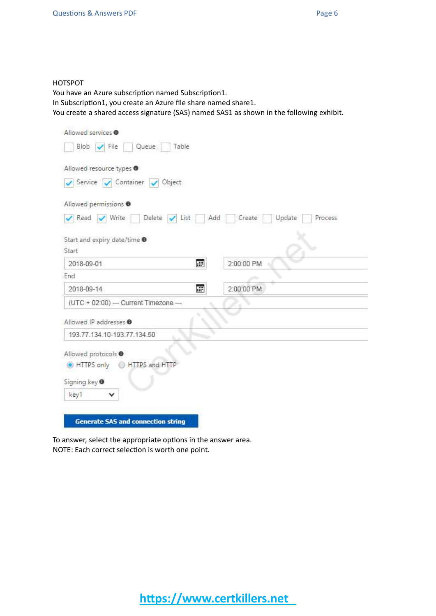#### HOTSPOT

You have an Azure subscription named Subscription1.

In Subscription1, you create an Azure file share named share1.

You create a shared access signature (SAS) named SAS1 as shown in the following exhibit.

| Allowed services <sup>O</sup>                    |                                    |
|--------------------------------------------------|------------------------------------|
| Blob V File<br>Queue<br>Table                    |                                    |
| Allowed resource types <sup>O</sup>              |                                    |
| Service Container / Object                       |                                    |
| Allowed permissions @                            |                                    |
| Read V Write<br>Delete $\sqrt{\phantom{a}}$ List | Add<br>Create<br>Update<br>Process |
| Start and expiry date/time $\bullet$             |                                    |
| Start                                            |                                    |
| 圃<br>2018-09-01                                  | 2:00:00 PM                         |
| End                                              |                                    |
| 田<br>2018-09-14                                  | 2:00:00 PM                         |
| $(UTC + 02.00)$ - Current Timezone --            |                                    |
| Allowed IP addresses <sup>®</sup>                |                                    |
| 193.77.134.10-193.77.134.50                      |                                    |
| Allowed protocols <sup>O</sup>                   |                                    |
| HTTPS and HTTP<br>HTTPS only                     |                                    |
| Signing key <sup>0</sup>                         |                                    |
|                                                  |                                    |
| key1<br>v                                        |                                    |

To answer, select the appropriate options in the answer area. NOTE: Each correct selection is worth one point.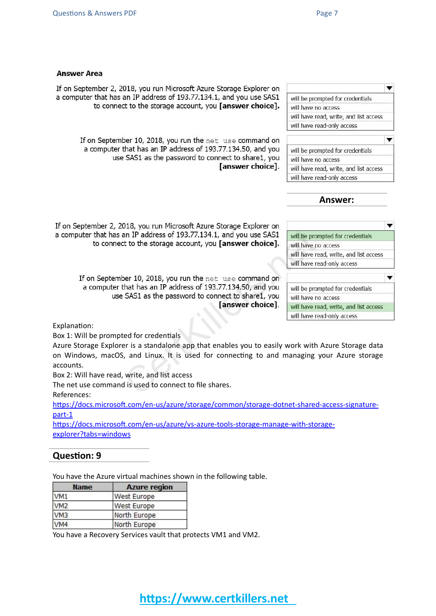#### **Answer Area**

If on September 2, 2018, you run Microsoft Azure Storage Explorer on a computer that has an IP address of 193.77.134.1, and you use SAS1 to connect to the storage account, you [answer choice].

If on September 10, 2018, you run the net use command on a computer that has an IP address of 193.77.134.50, and you use SAS1 as the password to connect to share1, you [answer choice].

| will be prompted for credentials       |  |
|----------------------------------------|--|
| will have no access                    |  |
| will have read, write, and list access |  |
| will have read-only access             |  |
|                                        |  |
|                                        |  |
| will be prompted for credentials       |  |
| will have no access                    |  |
| will have read, write, and list access |  |
| will have read-only access             |  |

l —

**Answer:**

| will be prompted for credentials       |
|----------------------------------------|
| will have no access                    |
| will have read, write, and list access |
| will have read-only access             |
|                                        |
|                                        |
| will be prompted for credentials       |
| will have no access                    |
| will have read, write, and list access |

If on September 2, 2018, you run Microsoft Azure Storage Explorer on a computer that has an IP address of 193.77.134.1, and you use SAS1 to connect to the storage account, you [answer choice].

> If on September 10, 2018, you run the net use command on a computer that has an IP address of 193.77.134.50, and you use SAS1 as the password to connect to share1, you [answer choice].

Explanation:

Box 1: Will be prompted for credentials

Azure Storage Explorer is a standalone app that enables you to easily work with Azure Storage data on Windows, macOS, and Linux. It is used for connecting to and managing your Azure storage accounts.

Box 2: Will have read, write, and list access

The net use command is used to connect to file shares.

References:

[https://docs.microsoft.com/en-us/azure/storage/common/storage-dotnet-shared-access-signature](https://docs.microsoft.com/en-us/azure/storage/common/storage-dotnet-shared-access-signature-part-1)[part-1](https://docs.microsoft.com/en-us/azure/storage/common/storage-dotnet-shared-access-signature-part-1)

[https://docs.microsoft.com/en-us/azure/vs-azure-tools-storage-manage-with-storage](https://docs.microsoft.com/en-us/azure/vs-azure-tools-storage-manage-with-storage-explorer?tabs=windows)[explorer?tabs=windows](https://docs.microsoft.com/en-us/azure/vs-azure-tools-storage-manage-with-storage-explorer?tabs=windows)

#### **Question: 9**

You have the Azure virtual machines shown in the following table.

| <b>Name</b>     | <b>Azure region</b> |  |  |
|-----------------|---------------------|--|--|
| VM1             | West Europe         |  |  |
| VM <sub>2</sub> | West Europe         |  |  |
| VM3             | North Europe        |  |  |
| VM4             | North Europe        |  |  |

You have a Recovery Services vault that protects VM1 and VM2.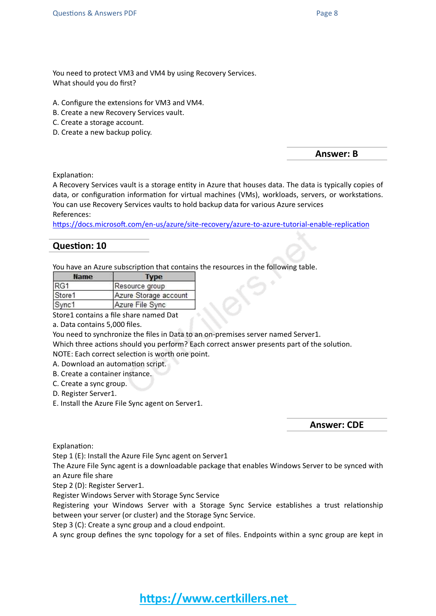You need to protect VM3 and VM4 by using Recovery Services. What should you do first?

- A. Configure the extensions for VM3 and VM4.
- B. Create a new Recovery Services vault.
- C. Create a storage account.
- D. Create a new backup policy.

**Answer: B**

Explanation:

A Recovery Services vault is a storage entity in Azure that houses data. The data is typically copies of data, or configuration information for virtual machines (VMs), workloads, servers, or workstations. You can use Recovery Services vaults to hold backup data for various Azure services References:

<https://docs.microsoft.com/en-us/azure/site-recovery/azure-to-azure-tutorial-enable-replication>

#### **Question: 10**

You have an Azure subscription that contains the resources in the following table.

| <b>Name</b> |                       |
|-------------|-----------------------|
| RG1         | Resource group        |
| Store1      | Azure Storage account |
| Sync1       | Azure File Sync       |

Store1 contains a file share named Dat

a. Data contains 5,000 files.

You need to synchronize the files in Data to an on-premises server named Server1.

Which three actions should you perform? Each correct answer presents part of the solution.

NOTE: Each correct selection is worth one point.

A. Download an automation script.

B. Create a container instance.

C. Create a sync group.

D. Register Server1.

E. Install the Azure File Sync agent on Server1.

**Answer: CDE**

Explanation:

Step 1 (E): Install the Azure File Sync agent on Server1

The Azure File Sync agent is a downloadable package that enables Windows Server to be synced with an Azure file share

Step 2 (D): Register Server1.

Register Windows Server with Storage Sync Service

Registering your Windows Server with a Storage Sync Service establishes a trust relationship between your server (or cluster) and the Storage Sync Service.

Step 3 (C): Create a sync group and a cloud endpoint.

A sync group defines the sync topology for a set of files. Endpoints within a sync group are kept in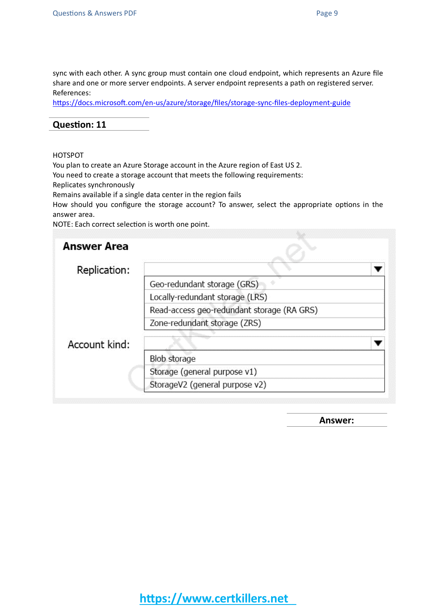sync with each other. A sync group must contain one cloud endpoint, which represents an Azure file share and one or more server endpoints. A server endpoint represents a path on registered server. References:

<https://docs.microsoft.com/en-us/azure/storage/files/storage-sync-files-deployment-guide>

#### **Question: 11**

#### HOTSPOT

You plan to create an Azure Storage account in the Azure region of East US 2.

You need to create a storage account that meets the following requirements:

Replicates synchronously

Remains available if a single data center in the region fails

How should you configure the storage account? To answer, select the appropriate options in the answer area.

NOTE: Each correct selection is worth one point.

| <b>Answer Area</b> |                                            |  |
|--------------------|--------------------------------------------|--|
| Replication:       |                                            |  |
|                    | Geo-redundant storage (GRS)                |  |
|                    | Locally-redundant storage (LRS)            |  |
|                    | Read-access geo-redundant storage (RA GRS) |  |
|                    | Zone-redundant storage (ZRS)               |  |
| Account kind:      |                                            |  |
|                    | <b>Blob storage</b>                        |  |
|                    | Storage (general purpose v1)               |  |
|                    | StorageV2 (general purpose v2)             |  |

**Answer:**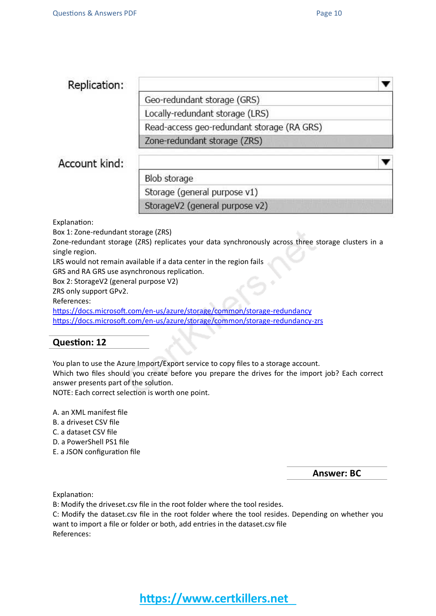w

▼

### Replication:

Geo-redundant storage (GRS)

Locally-redundant storage (LRS)

Read-access geo-redundant storage (RA GRS)

Zone-redundant storage (ZRS)

## Account kind:

Blob storage

Storage (general purpose v1)

StorageV2 (general purpose v2)

Explanation:

Box 1: Zone-redundant storage (ZRS)

Zone-redundant storage (ZRS) replicates your data synchronously across three storage clusters in a single region.

LRS would not remain available if a data center in the region fails

GRS and RA GRS use asynchronous replication.

Box 2: StorageV2 (general purpose V2)

ZRS only support GPv2.

References:

<https://docs.microsoft.com/en-us/azure/storage/common/storage-redundancy> <https://docs.microsoft.com/en-us/azure/storage/common/storage-redundancy-zrs>

#### **Question: 12**

You plan to use the Azure Import/Export service to copy files to a storage account.

Which two files should you create before you prepare the drives for the import job? Each correct answer presents part of the solution.

NOTE: Each correct selection is worth one point.

A. an XML manifest file

- B. a driveset CSV file
- C. a dataset CSV file
- D. a PowerShell PS1 file
- E. a JSON configuration file

**Answer: BC**

Explanation:

B: Modify the driveset.csv file in the root folder where the tool resides.

C: Modify the dataset.csv file in the root folder where the tool resides. Depending on whether you want to import a file or folder or both, add entries in the dataset.csv file References:

**https://www.certkillers.net**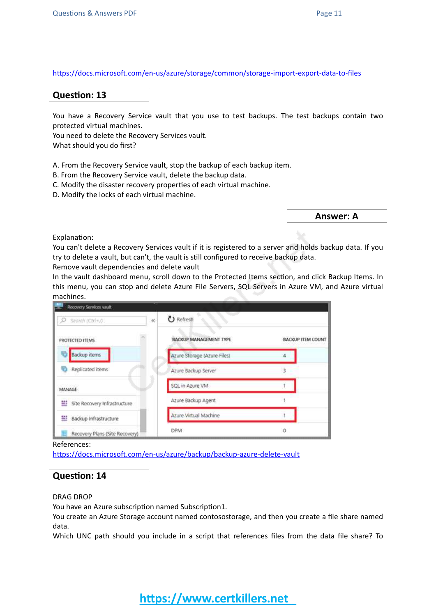<https://docs.microsoft.com/en-us/azure/storage/common/storage-import-export-data-to-files>

#### **Question: 13**

You have a Recovery Service vault that you use to test backups. The test backups contain two protected virtual machines.

You need to delete the Recovery Services vault.

What should you do first?

- A. From the Recovery Service vault, stop the backup of each backup item.
- B. From the Recovery Service vault, delete the backup data.
- C. Modify the disaster recovery properties of each virtual machine.
- D. Modify the locks of each virtual machine.

**Answer: A**

Explanation:

You can't delete a Recovery Services vault if it is registered to a server and holds backup data. If you try to delete a vault, but can't, the vault is still configured to receive backup data.

Remove vault dependencies and delete vault

In the vault dashboard menu, scroll down to the Protected Items section, and click Backup Items. In this menu, you can stop and delete Azure File Servers, SQL Servers in Azure VM, and Azure virtual machines.

| Recovery Services wault        |                               |                          |
|--------------------------------|-------------------------------|--------------------------|
| Seizh (Ctrl+/)<br>$\ll$        | <b>U</b> Refresh              |                          |
| PROTECTED ITEMS                | <b>BACKUP MANAGEMENT TYPE</b> | <b>BACKUP ITEM COUNT</b> |
| <b>Backup</b> items            | Azure Storage (Azure Files)   |                          |
| Replicated items               | Azure Backup Server           |                          |
| <b>MANAGE</b>                  | SQL in Azure VM               |                          |
| Site Recovery Infrastructure   | Azure Backup Agent            |                          |
| Backup Infrastructure          | Azure Virtual Machine         |                          |
| Recovery Plans (Site Recovery) | <b>DPM</b>                    | ũ                        |

References:

<https://docs.microsoft.com/en-us/azure/backup/backup-azure-delete-vault>

#### **Question: 14**

#### DRAG DROP

You have an Azure subscription named Subscription1.

You create an Azure Storage account named contosostorage, and then you create a file share named data.

Which UNC path should you include in a script that references files from the data file share? To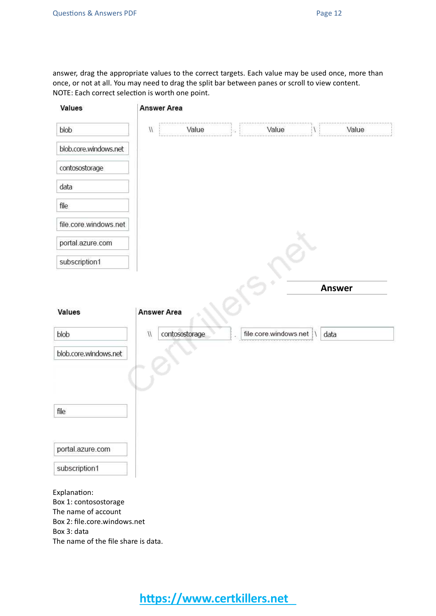answer, drag the appropriate values to the correct targets. Each value may be used once, more than once, or not at all. You may need to drag the split bar between panes or scroll to view content. NOTE: Each correct selection is worth one point.

| Values                                       | <b>Answer Area</b> |                |                       |               |
|----------------------------------------------|--------------------|----------------|-----------------------|---------------|
| blob                                         | $\eta$             | Value          | Value                 | Value         |
| blob.core.windows.net                        |                    |                |                       |               |
| contosostorage                               |                    |                |                       |               |
| data                                         |                    |                |                       |               |
| file                                         |                    |                |                       |               |
| file.core.windows.net                        |                    |                |                       |               |
| portal.azure.com                             |                    |                |                       |               |
| subscription1                                |                    |                |                       |               |
|                                              |                    |                |                       | <b>Answer</b> |
|                                              |                    |                |                       |               |
| Values                                       | <b>Answer Area</b> |                |                       |               |
| blob                                         | $\mathcal{N}$      | contosostorage | file.core.windows.net | data          |
| blob.core.windows.net                        |                    |                |                       |               |
|                                              |                    |                |                       |               |
|                                              |                    |                |                       |               |
| file                                         |                    |                |                       |               |
|                                              |                    |                |                       |               |
|                                              |                    |                |                       |               |
| portal.azure.com                             |                    |                |                       |               |
| subscription1                                |                    |                |                       |               |
| Explanation:                                 |                    |                |                       |               |
| Box 1: contosostorage<br>The name of account |                    |                |                       |               |
| Box 2: file.core.windows.net                 |                    |                |                       |               |
| Box 3: data                                  |                    |                |                       |               |
| The name of the file share is data.          |                    |                |                       |               |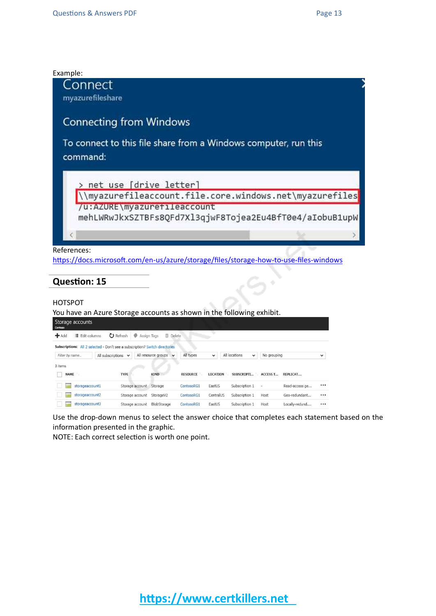

<https://docs.microsoft.com/en-us/azure/storage/files/storage-how-to-use-files-windows>

#### **Question: 15**

#### HOTSPOT

You have an Azure Storage accounts as shown in the following exhibit. Storage accounts 

|                |                   | Subscriptions: All 2 selected - Don't see a subscription? Switch directories |                                     |                 |                 |                               |                 |                |              |
|----------------|-------------------|------------------------------------------------------------------------------|-------------------------------------|-----------------|-----------------|-------------------------------|-----------------|----------------|--------------|
| Filter by name | All subscriptions | $\check{ }$                                                                  | All resource groups<br>$\checkmark$ | All types       | $\check{ }$     | All locations<br>$\checkmark$ | No grouping     |                | $\checkmark$ |
| 3 items        |                   |                                                                              |                                     |                 |                 |                               |                 |                |              |
| NAME           |                   | <b>TYPE</b>                                                                  | <b>KIND</b>                         | <b>RESOURCE</b> | <b>LOCATION</b> | SUBSCRIPTI                    | <b>ACCESS T</b> | REPLICAT       |              |
|                | storageaccount1   | Storage account                                                              | Storage                             | ContosoRG1      | EastUS          | Subscription 1                | ×               | Read-access ge |              |
|                | storageaccount2   | Storage account                                                              | StorageV2                           | ContosoRG1      | CentralUS       | Subscription 1                | Host            | Geo-redundant  |              |
|                | storageaccount3   | Storage account                                                              | BlobStorage                         | ContosoRG1      | <b>EastUS</b>   | Subscription 1                | Host            | Locally-redund |              |

Use the drop-down menus to select the answer choice that completes each statement based on the information presented in the graphic.

NOTE: Each correct selection is worth one point.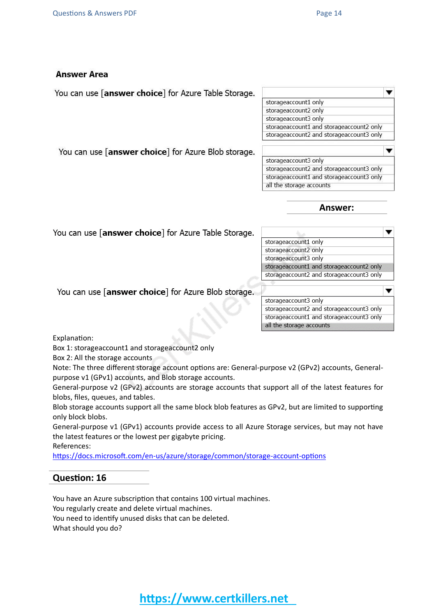#### **Answer Area**

You can use [answer choice] for Azure Table Storage.



You can use [answer choice] for Azure Blob storage.

| storageaccount3 only                     |  |
|------------------------------------------|--|
| storageaccount2 and storageaccount3 only |  |
| storageaccount1 and storageaccount3 only |  |
| all the storage accounts                 |  |

#### **Answer:**

| You can use [ <b>answer choice</b> ] for Azure Table Storage. |                                          |  |  |  |
|---------------------------------------------------------------|------------------------------------------|--|--|--|
|                                                               | storageaccount1 only                     |  |  |  |
|                                                               | storageaccount2 only                     |  |  |  |
|                                                               | storageaccount3 only                     |  |  |  |
|                                                               | storageaccount1 and storageaccount2 only |  |  |  |
|                                                               | storageaccount2 and storageaccount3 only |  |  |  |
| You can use [answer choice] for Azure Blob storage.           |                                          |  |  |  |
|                                                               | storageaccount3 only                     |  |  |  |
|                                                               | storageaccount2 and storageaccount3 only |  |  |  |
|                                                               | storageaccount1 and storageaccount3 only |  |  |  |
|                                                               | all the storage accounts                 |  |  |  |

Explanation:

Box 1: storageaccount1 and storageaccount2 only

Box 2: All the storage accounts

Note: The three different storage account options are: General-purpose v2 (GPv2) accounts, Generalpurpose v1 (GPv1) accounts, and Blob storage accounts.

General-purpose v2 (GPv2) accounts are storage accounts that support all of the latest features for blobs, files, queues, and tables.

Blob storage accounts support all the same block blob features as GPv2, but are limited to supporting only block blobs.

General-purpose v1 (GPv1) accounts provide access to all Azure Storage services, but may not have the latest features or the lowest per gigabyte pricing.

References:

<https://docs.microsoft.com/en-us/azure/storage/common/storage-account-options>

#### **Question: 16**

You have an Azure subscription that contains 100 virtual machines. You regularly create and delete virtual machines. You need to identify unused disks that can be deleted. What should you do?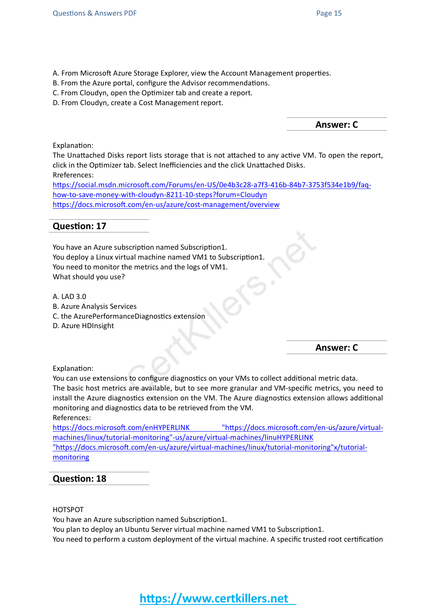- A. From Microsoft Azure Storage Explorer, view the Account Management properties.
- B. From the Azure portal, configure the Advisor recommendations.
- C. From Cloudyn, open the Optimizer tab and create a report.
- D. From Cloudyn, create a Cost Management report.

**Answer: C**

Explanation:

The Unattached Disks report lists storage that is not attached to any active VM. To open the report, click in the Optimizer tab. Select Inefficiencies and the click Unattached Disks. Rreferences:

[https://social.msdn.microsoft.com/Forums/en-US/0e4b3c28-a7f3-416b-84b7-3753f534e1b9/faq](https://social.msdn.microsoft.com/Forums/en-US/0e4b3c28-a7f3-416b-84b7-3753f534e1b9/faq-how-to-save-money-with-cloudyn-8211-10-steps?forum=Cloudyn)[how-to-save-money-with-cloudyn-8211-10-steps?forum=Cloudyn](https://social.msdn.microsoft.com/Forums/en-US/0e4b3c28-a7f3-416b-84b7-3753f534e1b9/faq-how-to-save-money-with-cloudyn-8211-10-steps?forum=Cloudyn) <https://docs.microsoft.com/en-us/azure/cost-management/overview>

#### **Question: 17**

You have an Azure subscription named Subscription1. You deploy a Linux virtual machine named VM1 to Subscription1. You need to monitor the metrics and the logs of VM1. What should you use?

A. LAD 3.0

- B. Azure Analysis Services
- C. the AzurePerformanceDiagnostics extension
- D. Azure HDInsight

**Answer: C**

Explanation:

You can use extensions to configure diagnostics on your VMs to collect additional metric data. The basic host metrics are available, but to see more granular and VM-specific metrics, you need to install the Azure diagnostics extension on the VM. The Azure diagnostics extension allows additional monitoring and diagnostics data to be retrieved from the VM. References:

[https://docs.microsoft.com/enHYPERLINK](https://docs.microsoft.com/en-us/azure/virtual-machines/linux/tutorial-monitoring) ["https://docs.microsoft.com/en-us/azure/virtual](https://docs.microsoft.com/en-us/azure/virtual-machines/linux/tutorial-monitoring)[machines/linux/tutorial-monitoring"-us/azure/virtual-machines/linuHYPERLINK](https://docs.microsoft.com/en-us/azure/virtual-machines/linux/tutorial-monitoring) ["https://docs.microsoft.com/en-us/azure/virtual-machines/linux/tutorial-monitoring"x/tutorial](https://docs.microsoft.com/en-us/azure/virtual-machines/linux/tutorial-monitoring)[monitoring](https://docs.microsoft.com/en-us/azure/virtual-machines/linux/tutorial-monitoring)

#### **Question: 18**

#### HOTSPOT

You have an Azure subscription named Subscription1.

You plan to deploy an Ubuntu Server virtual machine named VM1 to Subscription1.

You need to perform a custom deployment of the virtual machine. A specific trusted root certification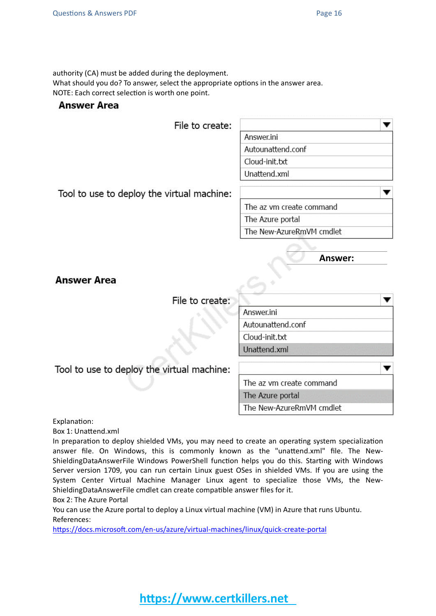authority (CA) must be added during the deployment.

What should you do? To answer, select the appropriate options in the answer area. NOTE: Each correct selection is worth one point.

#### **Answer Area**

File to create:

| Answer.ini        |  |
|-------------------|--|
| Autounattend.conf |  |
| Cloud-init.txt    |  |
| Unattend.xml      |  |

Tool to use to deploy the virtual machine:

The az vm create command

The Azure portal

The New-AzureRmVM cmdlet

**Answer:**

v

**Answer Area** 

File to create:

Answer.ini Autounattend.conf Cloud-init.txt **Unattend xml** v

Tool to use to deploy the virtual machine:

The az vm create command The Azure portal

The New-AzureRmVM cmdlet

Explanation:

Box 1: Unattend.xml

In preparation to deploy shielded VMs, you may need to create an operating system specialization answer file. On Windows, this is commonly known as the "unattend.xml" file. The New-ShieldingDataAnswerFile Windows PowerShell function helps you do this. Starting with Windows Server version 1709, you can run certain Linux guest OSes in shielded VMs. If you are using the System Center Virtual Machine Manager Linux agent to specialize those VMs, the New-ShieldingDataAnswerFile cmdlet can create compatible answer files for it.

Box 2: The Azure Portal

You can use the Azure portal to deploy a Linux virtual machine (VM) in Azure that runs Ubuntu. References:

<https://docs.microsoft.com/en-us/azure/virtual-machines/linux/quick-create-portal>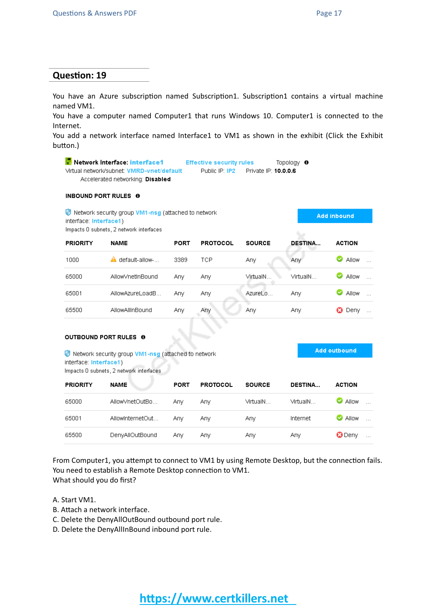**Add inbound** 

**Add outbound** 

#### **Question: 19**

You have an Azure subscription named Subscription1. Subscription1 contains a virtual machine named VM1.

You have a computer named Computer1 that runs Windows 10. Computer1 is connected to the Internet.

You add a network interface named Interface1 to VM1 as shown in the exhibit (Click the Exhibit button.)

Network Interface: interface1 **Effective security rules** Topology  $\theta$ Virtual network/subnet: VMRD-vnet/default Public IP: IP2 Private IP: 10.0.0.6 Accelerated networking: Disabled

#### INBOUND PORT RULES 0

Network security group VM1-nsg (attached to network interface: Interface1) Impacts 0 subnets, 2 network interfaces

| <b>PRIORITY</b> | <b>NAME</b>       | <b>PORT</b> | <b>PROTOCOL</b> | <b>SOURCE</b> | <b>DESTINA</b> | <b>ACTION</b>                 |
|-----------------|-------------------|-------------|-----------------|---------------|----------------|-------------------------------|
| 1000            | default-allow-    | 3389        | TCP             | Any           | Any            | <b>Allow</b><br>$\cdots$      |
| 65000           | Allow/vhetInBound | Any         | Any             | VirtualN.     | VirtualN       | ల<br>Allow<br>$\cdot$ $\cdot$ |
| 65001           | AllowAzureLoadB   | Anv         | Any             | AzureLo       | Anv            | <b>Allow</b><br>$\cdots$      |
| 65500           | AllowAllInBound   | Any         | Any             | Any           | Any            | Deny<br>Ø<br>$\cdots$         |

#### **OUTBOUND PORT RULES 0**

Network security group VM1-nsg (attached to network interface: Interface1)

Impacts 0 subnets, 2 network interfaces

| <b>PRIORITY</b> | <b>NAME</b>      | PORT | <b>PROTOCOL</b> | <b>SOURCE</b> | <b>DESTINA</b> | <b>ACTION</b>               |
|-----------------|------------------|------|-----------------|---------------|----------------|-----------------------------|
| 65000           | AllowVnetOutBo   | Anv  | Any             | VirtualN      | VirtualN       | $\bullet$ Allow<br>$\cdots$ |
| 65001           | AllowInternetOut | Anv  | Any.            | Any           | Internet       | <b>C</b> Allow<br>$\cdots$  |
| 65500           | DenyAllOutBound  | Anv  | Anv             | Any           | Anv            | <b>3</b> Deny<br>$\cdots$   |

From Computer1, you attempt to connect to VM1 by using Remote Desktop, but the connection fails. You need to establish a Remote Desktop connection to VM1. What should you do first?

- A. Start VM1.
- B. Attach a network interface.
- C. Delete the DenyAllOutBound outbound port rule.
- D. Delete the DenyAllInBound inbound port rule.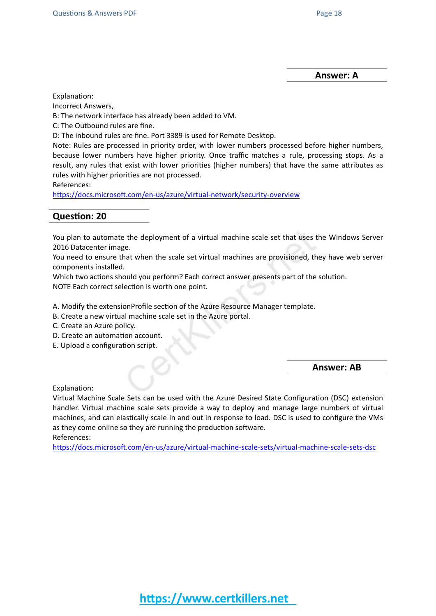**Answer: A**

Explanation:

Incorrect Answers,

B: The network interface has already been added to VM.

C: The Outbound rules are fine.

D: The inbound rules are fine. Port 3389 is used for Remote Desktop.

Note: Rules are processed in priority order, with lower numbers processed before higher numbers, because lower numbers have higher priority. Once traffic matches a rule, processing stops. As a result, any rules that exist with lower priorities (higher numbers) that have the same attributes as rules with higher priorities are not processed.

References:

<https://docs.microsoft.com/en-us/azure/virtual-network/security-overview>

#### **Question: 20**

You plan to automate the deployment of a virtual machine scale set that uses the Windows Server 2016 Datacenter image.

You need to ensure that when the scale set virtual machines are provisioned, they have web server components installed.

Which two actions should you perform? Each correct answer presents part of the solution.

NOTE Each correct selection is worth one point.

A. Modify the extensionProfile section of the Azure Resource Manager template.

- B. Create a new virtual machine scale set in the Azure portal.
- C. Create an Azure policy.
- D. Create an automation account.
- E. Upload a configuration script.

**Answer: AB**

Explanation:

Virtual Machine Scale Sets can be used with the Azure Desired State Configuration (DSC) extension handler. Virtual machine scale sets provide a way to deploy and manage large numbers of virtual machines, and can elastically scale in and out in response to load. DSC is used to configure the VMs as they come online so they are running the production software. References:

<https://docs.microsoft.com/en-us/azure/virtual-machine-scale-sets/virtual-machine-scale-sets-dsc>